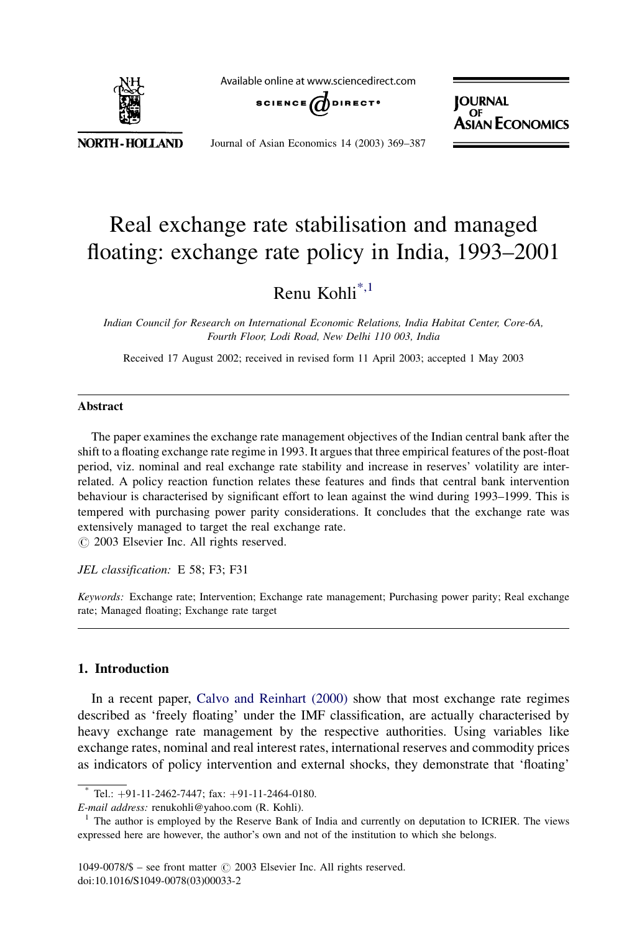

Available online at www.sciencedirect.com



**JOURNAL**  $OF$ **ASIAN ECONOMICS** 

NORTH-HOLLAND

Journal of Asian Economics 14 (2003) 369–387

# Real exchange rate stabilisation and managed floating: exchange rate policy in India, 1993–2001

## Renu Kohli\*,1

Indian Council for Research on International Economic Relations, India Habitat Center, Core-6A, Fourth Floor, Lodi Road, New Delhi 110 003, India

Received 17 August 2002; received in revised form 11 April 2003; accepted 1 May 2003

#### Abstract

The paper examines the exchange rate management objectives of the Indian central bank after the shift to a floating exchange rate regime in 1993. It argues that three empirical features of the post-float period, viz. nominal and real exchange rate stability and increase in reserves' volatility are interrelated. A policy reaction function relates these features and finds that central bank intervention behaviour is characterised by significant effort to lean against the wind during 1993–1999. This is tempered with purchasing power parity considerations. It concludes that the exchange rate was extensively managed to target the real exchange rate.

 $\odot$  2003 Elsevier Inc. All rights reserved.

JEL classification: E 58; F3; F31

Keywords: Exchange rate; Intervention; Exchange rate management; Purchasing power parity; Real exchange rate; Managed floating; Exchange rate target

### 1. Introduction

In a recent paper, [Calvo and Reinhart \(2000\)](#page--1-0) show that most exchange rate regimes described as 'freely floating' under the IMF classification, are actually characterised by heavy exchange rate management by the respective authorities. Using variables like exchange rates, nominal and real interest rates, international reserves and commodity prices as indicators of policy intervention and external shocks, they demonstrate that 'floating'

Tel.:  $+91-11-2462-7447$ ; fax:  $+91-11-2464-0180$ .

E-mail address: renukohli@yahoo.com (R. Kohli).<br><sup>1</sup> The author is employed by the Reserve Bank of India and currently on deputation to ICRIER. The views expressed here are however, the author's own and not of the institution to which she belongs.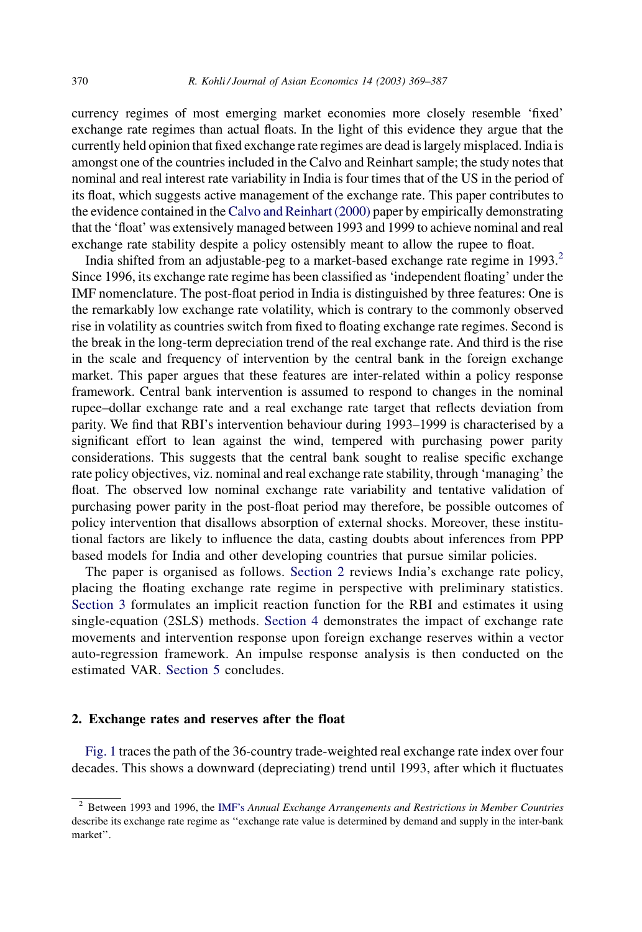currency regimes of most emerging market economies more closely resemble 'fixed' exchange rate regimes than actual floats. In the light of this evidence they argue that the currently held opinion that fixed exchange rate regimes are dead is largely misplaced. India is amongst one of the countries included in the Calvo and Reinhart sample; the study notes that nominal and real interest rate variability in India is four times that of the US in the period of its float, which suggests active management of the exchange rate. This paper contributes to the evidence contained in the [Calvo and Reinhart \(2000\)](#page--1-0) paper by empirically demonstrating that the 'float' was extensively managed between 1993 and 1999 to achieve nominal and real exchange rate stability despite a policy ostensibly meant to allow the rupee to float.

India shifted from an adjustable-peg to a market-based exchange rate regime in  $1993<sup>2</sup>$ Since 1996, its exchange rate regime has been classified as 'independent floating' under the IMF nomenclature. The post-float period in India is distinguished by three features: One is the remarkably low exchange rate volatility, which is contrary to the commonly observed rise in volatility as countries switch from fixed to floating exchange rate regimes. Second is the break in the long-term depreciation trend of the real exchange rate. And third is the rise in the scale and frequency of intervention by the central bank in the foreign exchange market. This paper argues that these features are inter-related within a policy response framework. Central bank intervention is assumed to respond to changes in the nominal rupee–dollar exchange rate and a real exchange rate target that reflects deviation from parity. We find that RBI's intervention behaviour during 1993–1999 is characterised by a significant effort to lean against the wind, tempered with purchasing power parity considerations. This suggests that the central bank sought to realise specific exchange rate policy objectives, viz. nominal and real exchange rate stability, through 'managing' the float. The observed low nominal exchange rate variability and tentative validation of purchasing power parity in the post-float period may therefore, be possible outcomes of policy intervention that disallows absorption of external shocks. Moreover, these institutional factors are likely to influence the data, casting doubts about inferences from PPP based models for India and other developing countries that pursue similar policies.

The paper is organised as follows. Section 2 reviews India's exchange rate policy, placing the floating exchange rate regime in perspective with preliminary statistics. [Section 3](#page--1-0) formulates an implicit reaction function for the RBI and estimates it using single-equation (2SLS) methods. [Section 4](#page--1-0) demonstrates the impact of exchange rate movements and intervention response upon foreign exchange reserves within a vector auto-regression framework. An impulse response analysis is then conducted on the estimated VAR. [Section 5](#page--1-0) concludes.

### 2. Exchange rates and reserves after the float

[Fig. 1](#page--1-0) traces the path of the 36-country trade-weighted real exchange rate index over four decades. This shows a downward (depreciating) trend until 1993, after which it fluctuates

 $\frac{2}{3}$  Between 1993 and 1996, the [IMF's](#page--1-0) Annual Exchange Arrangements and Restrictions in Member Countries describe its exchange rate regime as ''exchange rate value is determined by demand and supply in the inter-bank market''.